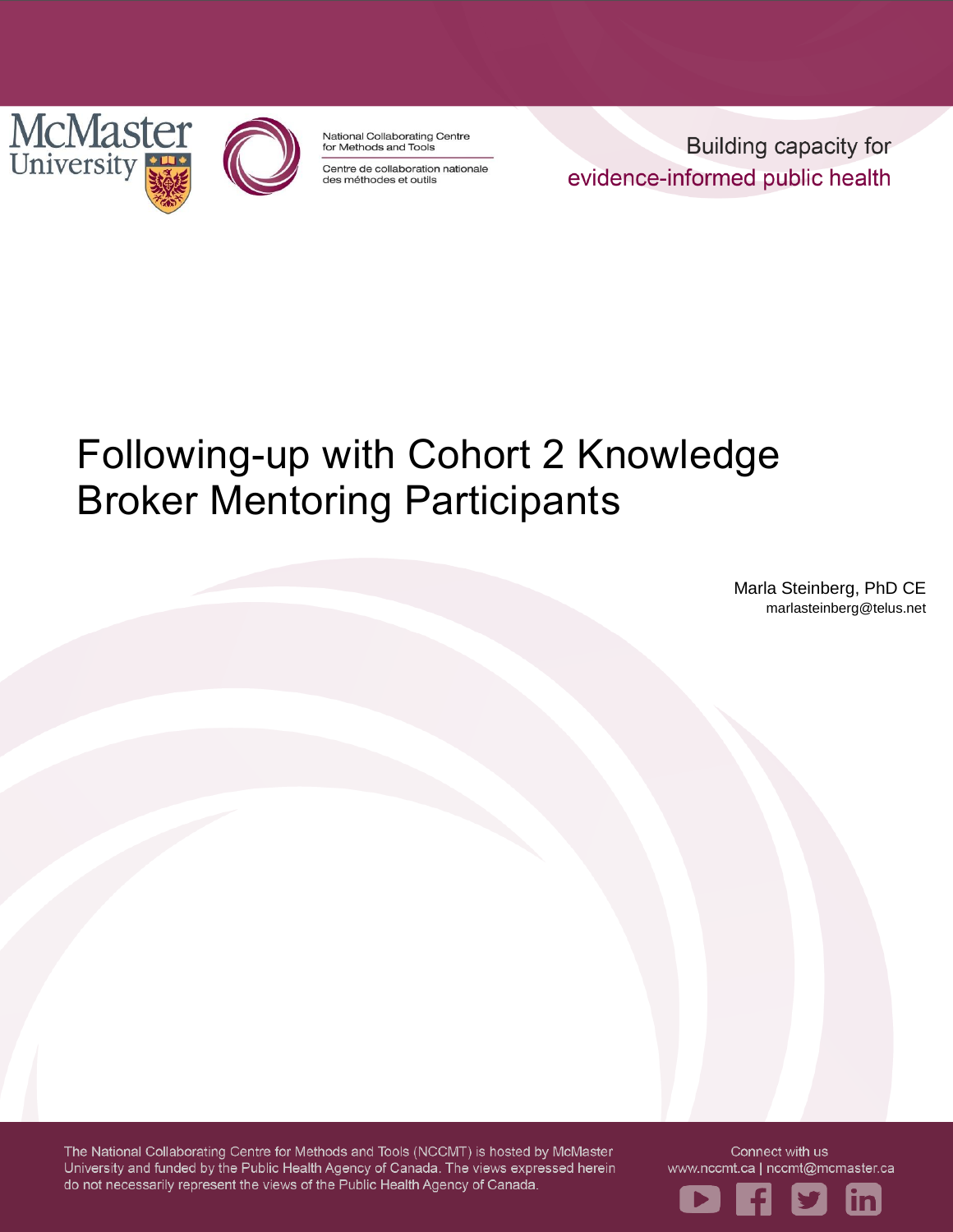



National Collaborating Centre for Methods and Tools

Centre de collaboration nationale des méthodes et outils

**Building capacity for** evidence-informed public health

# Following-up with Cohort 2 Knowledge Broker Mentoring Participants

Marla Steinberg, PhD CE marlasteinberg@telus.net

The National Collaborating Centre for Methods and Tools (NCCMT) is hosted by McMaster University and funded by the Public Health Agency of Canada. The views expressed herein do not necessarily represent the views of the Public Health Agency of Canada.

Connect with us www.nccmt.ca | nccmt@mcmaster.ca

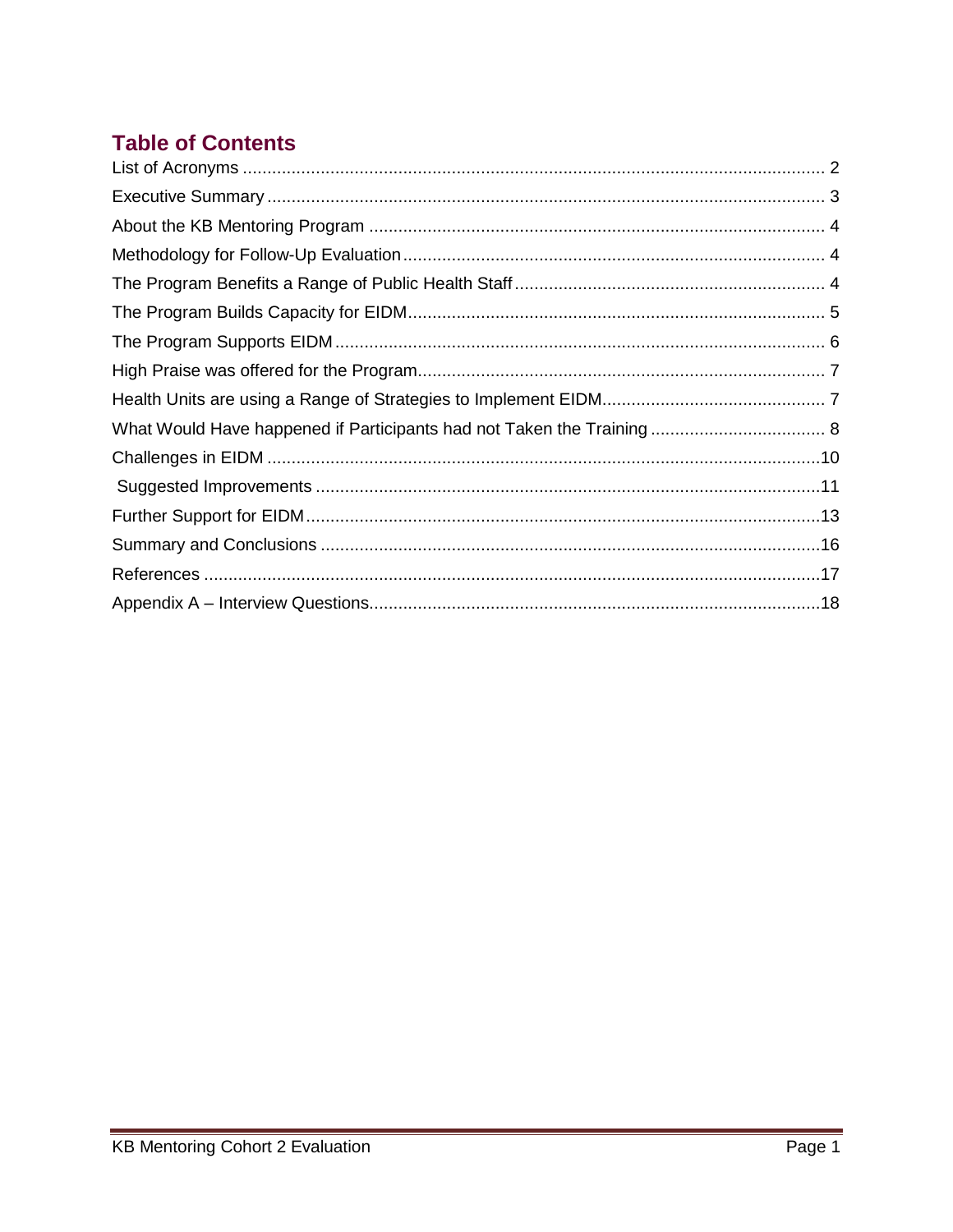# **Table of Contents**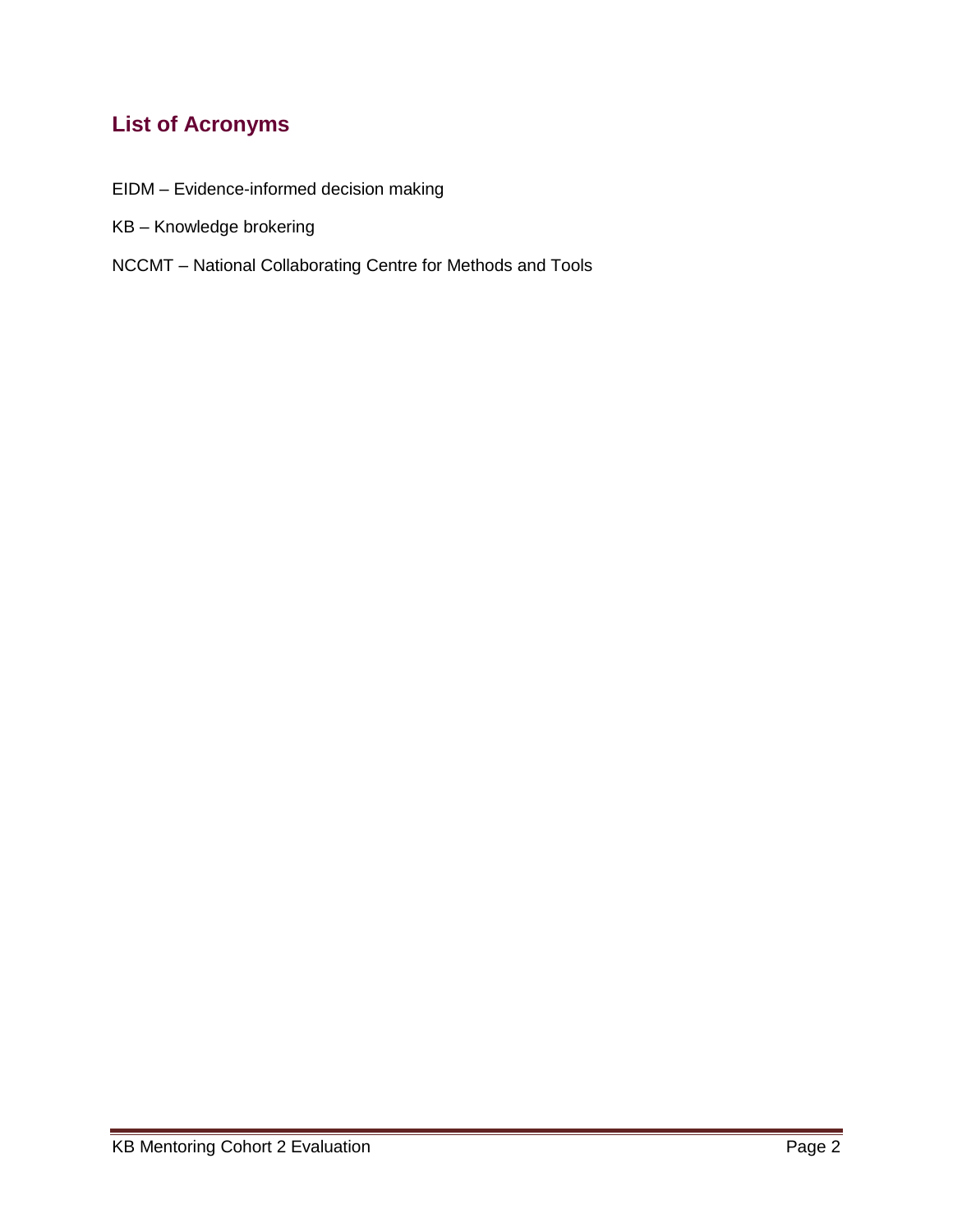## <span id="page-2-0"></span>**List of Acronyms**

- EIDM Evidence-informed decision making
- KB Knowledge brokering
- NCCMT National Collaborating Centre for Methods and Tools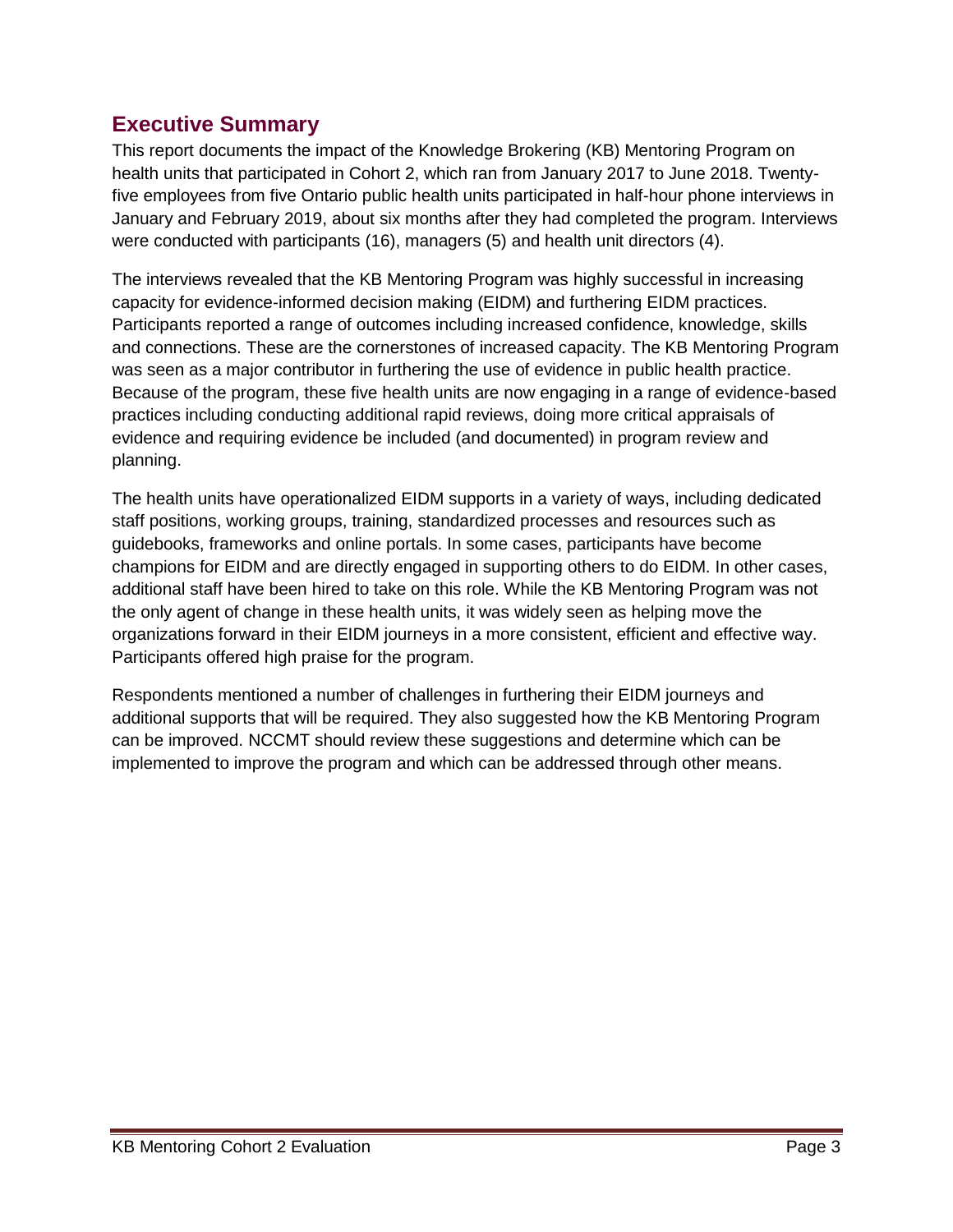#### <span id="page-3-0"></span>**Executive Summary**

This report documents the impact of the Knowledge Brokering (KB) Mentoring Program on health units that participated in Cohort 2, which ran from January 2017 to June 2018. Twentyfive employees from five Ontario public health units participated in half-hour phone interviews in January and February 2019, about six months after they had completed the program. Interviews were conducted with participants (16), managers (5) and health unit directors (4).

The interviews revealed that the KB Mentoring Program was highly successful in increasing capacity for evidence-informed decision making (EIDM) and furthering EIDM practices. Participants reported a range of outcomes including increased confidence, knowledge, skills and connections. These are the cornerstones of increased capacity. The KB Mentoring Program was seen as a major contributor in furthering the use of evidence in public health practice. Because of the program, these five health units are now engaging in a range of evidence-based practices including conducting additional rapid reviews, doing more critical appraisals of evidence and requiring evidence be included (and documented) in program review and planning.

The health units have operationalized EIDM supports in a variety of ways, including dedicated staff positions, working groups, training, standardized processes and resources such as guidebooks, frameworks and online portals. In some cases, participants have become champions for EIDM and are directly engaged in supporting others to do EIDM. In other cases, additional staff have been hired to take on this role. While the KB Mentoring Program was not the only agent of change in these health units, it was widely seen as helping move the organizations forward in their EIDM journeys in a more consistent, efficient and effective way. Participants offered high praise for the program.

Respondents mentioned a number of challenges in furthering their EIDM journeys and additional supports that will be required. They also suggested how the KB Mentoring Program can be improved. NCCMT should review these suggestions and determine which can be implemented to improve the program and which can be addressed through other means.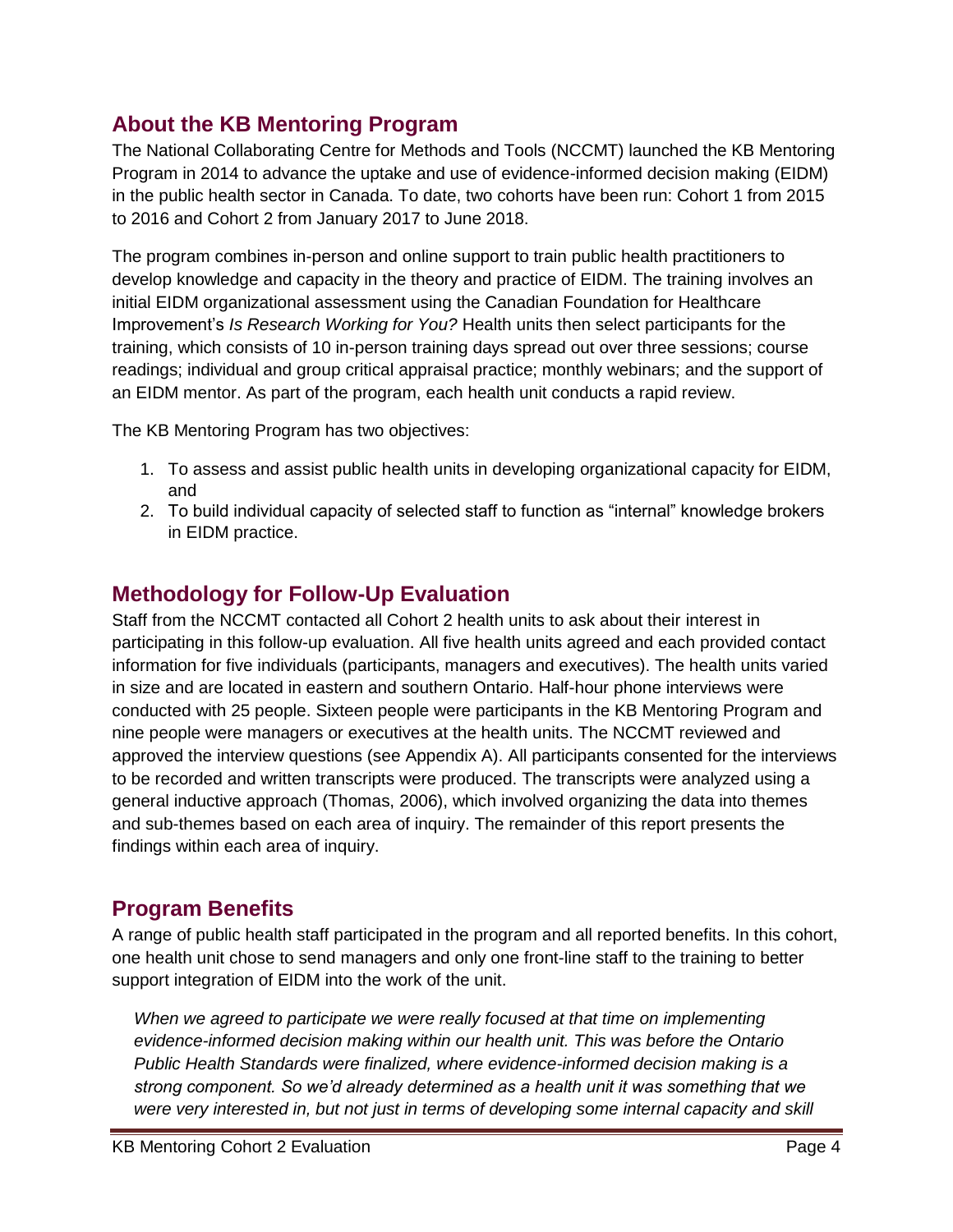#### <span id="page-4-0"></span>**About the KB Mentoring Program**

The National Collaborating Centre for Methods and Tools (NCCMT) launched the KB Mentoring Program in 2014 to advance the uptake and use of evidence-informed decision making (EIDM) in the public health sector in Canada. To date, two cohorts have been run: Cohort 1 from 2015 to 2016 and Cohort 2 from January 2017 to June 2018.

The program combines in-person and online support to train public health practitioners to develop knowledge and capacity in the theory and practice of EIDM. The training involves an initial EIDM organizational assessment using the Canadian Foundation for Healthcare Improvement's *Is Research Working for You?* Health units then select participants for the training, which consists of 10 in-person training days spread out over three sessions; course readings; individual and group critical appraisal practice; monthly webinars; and the support of an EIDM mentor. As part of the program, each health unit conducts a rapid review.

The KB Mentoring Program has two objectives:

- 1. To assess and assist public health units in developing organizational capacity for EIDM, and
- 2. To build individual capacity of selected staff to function as "internal" knowledge brokers in EIDM practice.

#### <span id="page-4-1"></span>**Methodology for Follow-Up Evaluation**

Staff from the NCCMT contacted all Cohort 2 health units to ask about their interest in participating in this follow-up evaluation. All five health units agreed and each provided contact information for five individuals (participants, managers and executives). The health units varied in size and are located in eastern and southern Ontario. Half-hour phone interviews were conducted with 25 people. Sixteen people were participants in the KB Mentoring Program and nine people were managers or executives at the health units. The NCCMT reviewed and approved the interview questions (see Appendix A). All participants consented for the interviews to be recorded and written transcripts were produced. The transcripts were analyzed using a general inductive approach (Thomas, 2006), which involved organizing the data into themes and sub-themes based on each area of inquiry. The remainder of this report presents the findings within each area of inquiry.

#### <span id="page-4-2"></span>**Program Benefits**

A range of public health staff participated in the program and all reported benefits. In this cohort, one health unit chose to send managers and only one front-line staff to the training to better support integration of EIDM into the work of the unit.

*When we agreed to participate we were really focused at that time on implementing evidence-informed decision making within our health unit. This was before the Ontario Public Health Standards were finalized, where evidence-informed decision making is a strong component. So we'd already determined as a health unit it was something that we were very interested in, but not just in terms of developing some internal capacity and skill*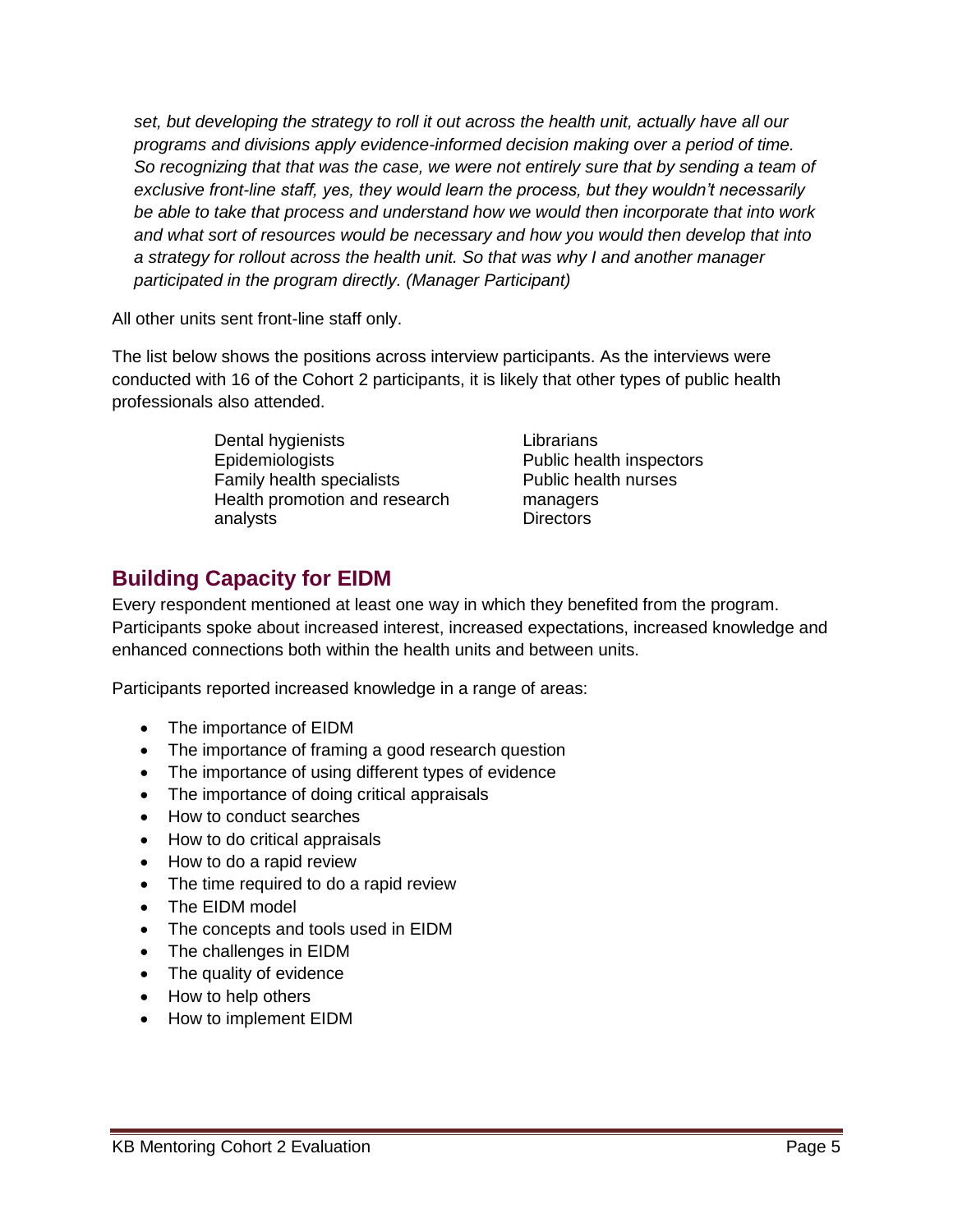*set, but developing the strategy to roll it out across the health unit, actually have all our programs and divisions apply evidence-informed decision making over a period of time. So recognizing that that was the case, we were not entirely sure that by sending a team of exclusive front-line staff, yes, they would learn the process, but they wouldn't necessarily be able to take that process and understand how we would then incorporate that into work and what sort of resources would be necessary and how you would then develop that into a strategy for rollout across the health unit. So that was why I and another manager participated in the program directly. (Manager Participant)*

All other units sent front-line staff only.

The list below shows the positions across interview participants. As the interviews were conducted with 16 of the Cohort 2 participants, it is likely that other types of public health professionals also attended.

> Dental hygienists Epidemiologists Family health specialists Health promotion and research analysts

Librarians Public health inspectors Public health nurses managers **Directors** 

#### <span id="page-5-0"></span>**Building Capacity for EIDM**

Every respondent mentioned at least one way in which they benefited from the program. Participants spoke about increased interest, increased expectations, increased knowledge and enhanced connections both within the health units and between units.

Participants reported increased knowledge in a range of areas:

- The importance of EIDM
- The importance of framing a good research question
- The importance of using different types of evidence
- The importance of doing critical appraisals
- How to conduct searches
- How to do critical appraisals
- How to do a rapid review
- The time required to do a rapid review
- The EIDM model
- The concepts and tools used in EIDM
- The challenges in EIDM
- The quality of evidence
- How to help others
- How to implement EIDM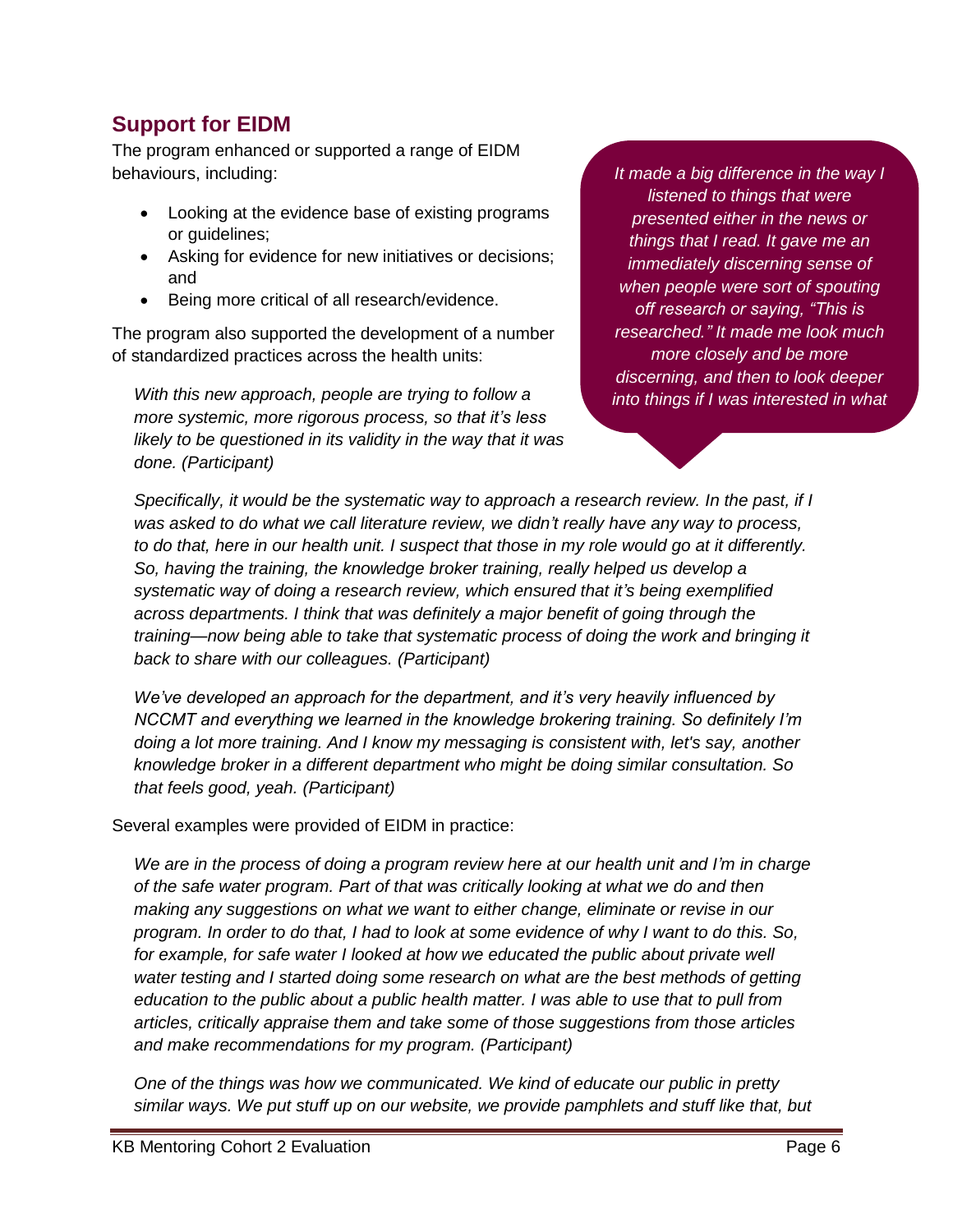#### <span id="page-6-0"></span>**Support for EIDM**

The program enhanced or supported a range of EIDM behaviours, including:

- Looking at the evidence base of existing programs or guidelines;
- Asking for evidence for new initiatives or decisions; and
- Being more critical of all research/evidence.

The program also supported the development of a number of standardized practices across the health units:

*With this new approach, people are trying to follow a more systemic, more rigorous process, so that it's less likely to be questioned in its validity in the way that it was done. (Participant)*

*It made a big difference in the way I listened to things that were presented either in the news or things that I read. It gave me an immediately discerning sense of when people were sort of spouting off research or saying, "This is researched." It made me look much more closely and be more discerning, and then to look deeper into things if I was interested in what* 

*Specifically, it would be the systematic way to approach a research review. In the past, if I was asked to do what we call literature review, we didn't really have any way to process, to do that, here in our health unit. I suspect that those in my role would go at it differently. So, having the training, the knowledge broker training, really helped us develop a systematic way of doing a research review, which ensured that it's being exemplified across departments. I think that was definitely a major benefit of going through the training—now being able to take that systematic process of doing the work and bringing it back to share with our colleagues. (Participant)*

*We've developed an approach for the department, and it's very heavily influenced by NCCMT and everything we learned in the knowledge brokering training. So definitely I'm doing a lot more training. And I know my messaging is consistent with, let's say, another knowledge broker in a different department who might be doing similar consultation. So that feels good, yeah. (Participant)*

Several examples were provided of EIDM in practice:

*We are in the process of doing a program review here at our health unit and I'm in charge of the safe water program. Part of that was critically looking at what we do and then making any suggestions on what we want to either change, eliminate or revise in our program. In order to do that, I had to look at some evidence of why I want to do this. So, for example, for safe water I looked at how we educated the public about private well water testing and I started doing some research on what are the best methods of getting education to the public about a public health matter. I was able to use that to pull from articles, critically appraise them and take some of those suggestions from those articles and make recommendations for my program. (Participant)*

*One of the things was how we communicated. We kind of educate our public in pretty similar ways. We put stuff up on our website, we provide pamphlets and stuff like that, but*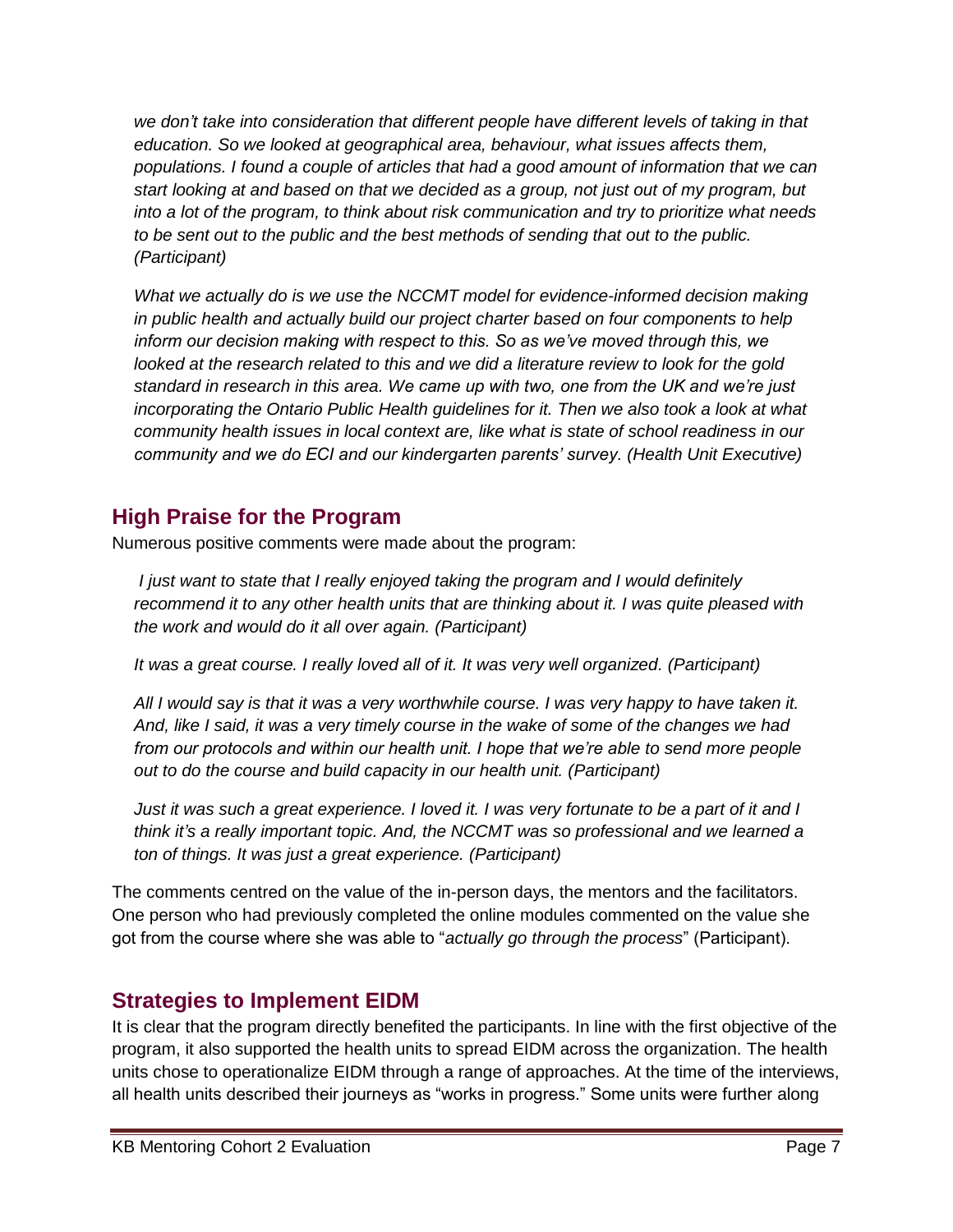*we don't take into consideration that different people have different levels of taking in that education. So we looked at geographical area, behaviour, what issues affects them, populations. I found a couple of articles that had a good amount of information that we can start looking at and based on that we decided as a group, not just out of my program, but into a lot of the program, to think about risk communication and try to prioritize what needs to be sent out to the public and the best methods of sending that out to the public. (Participant)*

*What we actually do is we use the NCCMT model for evidence-informed decision making in public health and actually build our project charter based on four components to help inform our decision making with respect to this. So as we've moved through this, we looked at the research related to this and we did a literature review to look for the gold standard in research in this area. We came up with two, one from the UK and we're just incorporating the Ontario Public Health guidelines for it. Then we also took a look at what community health issues in local context are, like what is state of school readiness in our community and we do ECI and our kindergarten parents' survey. (Health Unit Executive)*

#### <span id="page-7-0"></span>**High Praise for the Program**

Numerous positive comments were made about the program:

*I just want to state that I really enjoyed taking the program and I would definitely recommend it to any other health units that are thinking about it. I was quite pleased with the work and would do it all over again. (Participant)*

*It was a great course. I really loved all of it. It was very well organized. (Participant)*

*All I would say is that it was a very worthwhile course. I was very happy to have taken it. And, like I said, it was a very timely course in the wake of some of the changes we had from our protocols and within our health unit. I hope that we're able to send more people out to do the course and build capacity in our health unit. (Participant)*

*Just it was such a great experience. I loved it. I was very fortunate to be a part of it and I think it's a really important topic. And, the NCCMT was so professional and we learned a ton of things. It was just a great experience. (Participant)*

The comments centred on the value of the in-person days, the mentors and the facilitators. One person who had previously completed the online modules commented on the value she got from the course where she was able to "*actually go through the process*" (Participant).

#### <span id="page-7-1"></span>**Strategies to Implement EIDM**

It is clear that the program directly benefited the participants. In line with the first objective of the program, it also supported the health units to spread EIDM across the organization. The health units chose to operationalize EIDM through a range of approaches. At the time of the interviews, all health units described their journeys as "works in progress." Some units were further along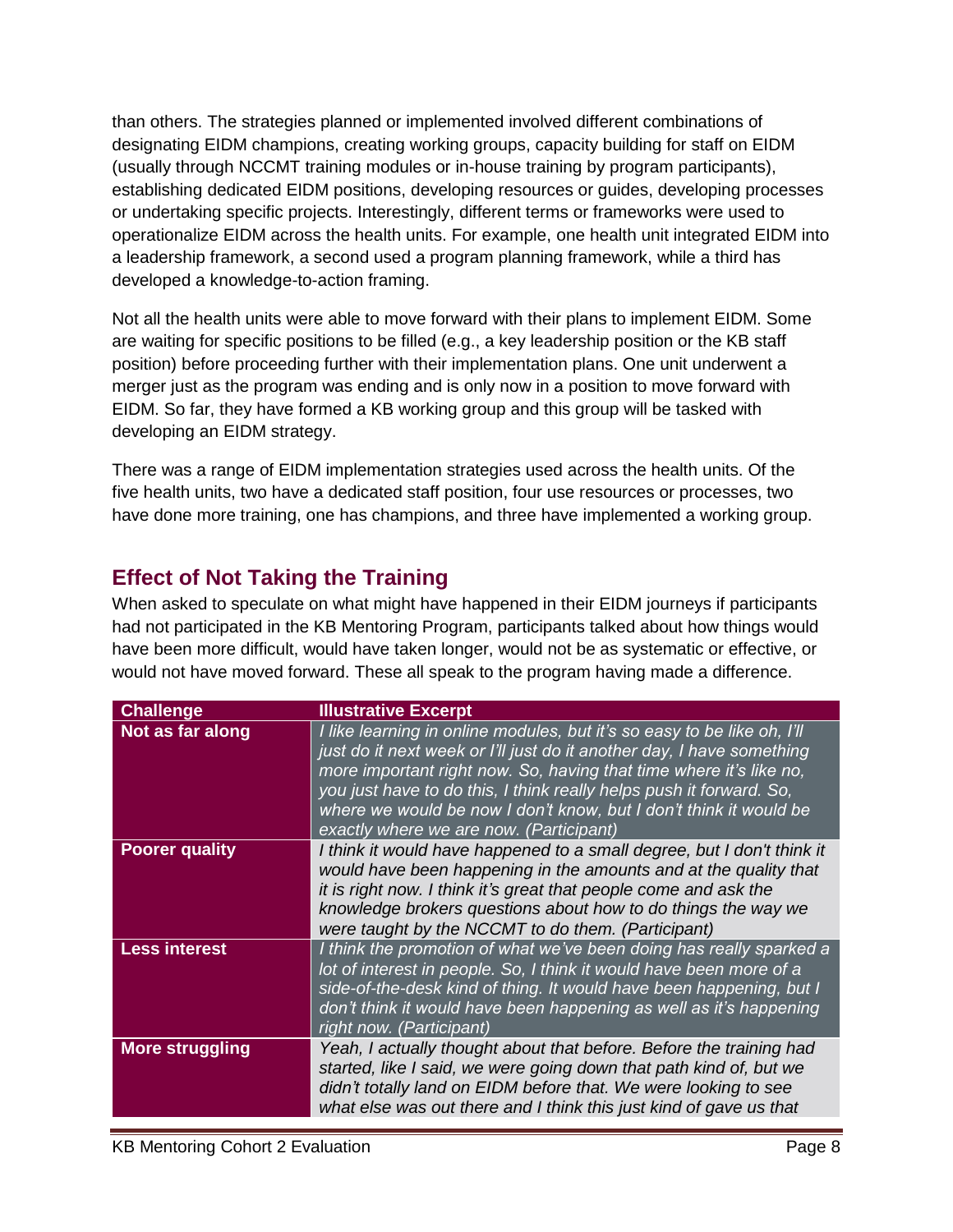than others. The strategies planned or implemented involved different combinations of designating EIDM champions, creating working groups, capacity building for staff on EIDM (usually through NCCMT training modules or in-house training by program participants), establishing dedicated EIDM positions, developing resources or guides, developing processes or undertaking specific projects. Interestingly, different terms or frameworks were used to operationalize EIDM across the health units. For example, one health unit integrated EIDM into a leadership framework, a second used a program planning framework, while a third has developed a knowledge-to-action framing.

Not all the health units were able to move forward with their plans to implement EIDM. Some are waiting for specific positions to be filled (e.g., a key leadership position or the KB staff position) before proceeding further with their implementation plans. One unit underwent a merger just as the program was ending and is only now in a position to move forward with EIDM. So far, they have formed a KB working group and this group will be tasked with developing an EIDM strategy.

There was a range of EIDM implementation strategies used across the health units. Of the five health units, two have a dedicated staff position, four use resources or processes, two have done more training, one has champions, and three have implemented a working group.

#### <span id="page-8-0"></span>**Effect of Not Taking the Training**

When asked to speculate on what might have happened in their EIDM journeys if participants had not participated in the KB Mentoring Program, participants talked about how things would have been more difficult, would have taken longer, would not be as systematic or effective, or would not have moved forward. These all speak to the program having made a difference.

| <b>Challenge</b>       | <b>Illustrative Excerpt</b>                                                                                                                                                                                                                                                                                                                                                                                   |
|------------------------|---------------------------------------------------------------------------------------------------------------------------------------------------------------------------------------------------------------------------------------------------------------------------------------------------------------------------------------------------------------------------------------------------------------|
| Not as far along       | I like learning in online modules, but it's so easy to be like oh, I'll<br>just do it next week or I'll just do it another day, I have something<br>more important right now. So, having that time where it's like no,<br>you just have to do this, I think really helps push it forward. So,<br>where we would be now I don't know, but I don't think it would be<br>exactly where we are now. (Participant) |
| <b>Poorer quality</b>  | I think it would have happened to a small degree, but I don't think it<br>would have been happening in the amounts and at the quality that<br>it is right now. I think it's great that people come and ask the<br>knowledge brokers questions about how to do things the way we<br>were taught by the NCCMT to do them. (Participant)                                                                         |
| <b>Less interest</b>   | I think the promotion of what we've been doing has really sparked a<br>lot of interest in people. So, I think it would have been more of a<br>side-of-the-desk kind of thing. It would have been happening, but I<br>don't think it would have been happening as well as it's happening<br>right now. (Participant)                                                                                           |
| <b>More struggling</b> | Yeah, I actually thought about that before. Before the training had<br>started, like I said, we were going down that path kind of, but we<br>didn't totally land on EIDM before that. We were looking to see<br>what else was out there and I think this just kind of gave us that                                                                                                                            |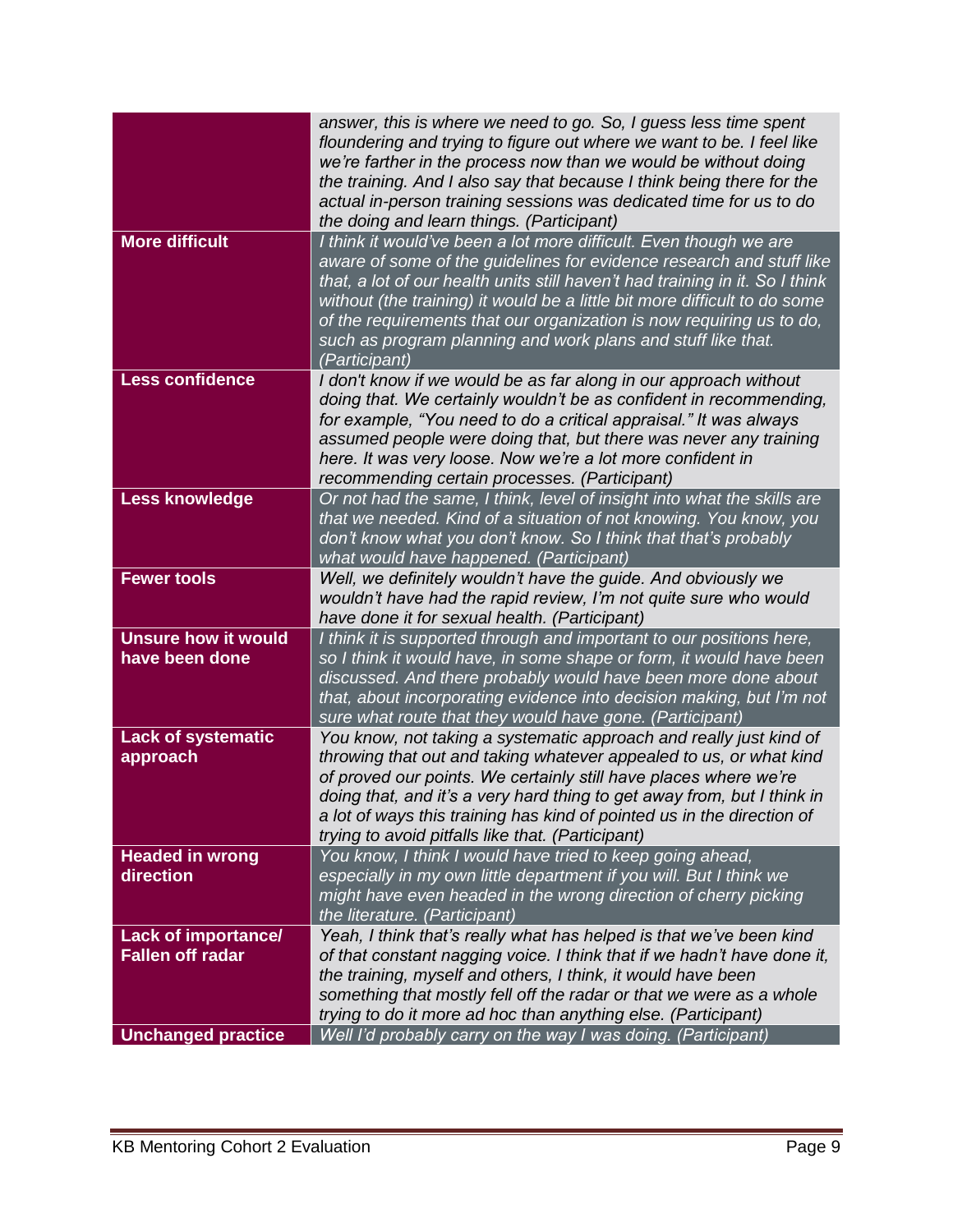| <b>More difficult</b>                                 | answer, this is where we need to go. So, I guess less time spent<br>floundering and trying to figure out where we want to be. I feel like<br>we're farther in the process now than we would be without doing<br>the training. And I also say that because I think being there for the<br>actual in-person training sessions was dedicated time for us to do<br>the doing and learn things. (Participant)<br>I think it would've been a lot more difficult. Even though we are |
|-------------------------------------------------------|-------------------------------------------------------------------------------------------------------------------------------------------------------------------------------------------------------------------------------------------------------------------------------------------------------------------------------------------------------------------------------------------------------------------------------------------------------------------------------|
|                                                       | aware of some of the guidelines for evidence research and stuff like<br>that, a lot of our health units still haven't had training in it. So I think<br>without (the training) it would be a little bit more difficult to do some<br>of the requirements that our organization is now requiring us to do,<br>such as program planning and work plans and stuff like that.<br>(Participant)                                                                                    |
| <b>Less confidence</b>                                | I don't know if we would be as far along in our approach without<br>doing that. We certainly wouldn't be as confident in recommending,<br>for example, "You need to do a critical appraisal." It was always<br>assumed people were doing that, but there was never any training<br>here. It was very loose. Now we're a lot more confident in<br>recommending certain processes. (Participant)                                                                                |
| <b>Less knowledge</b>                                 | Or not had the same, I think, level of insight into what the skills are<br>that we needed. Kind of a situation of not knowing. You know, you<br>don't know what you don't know. So I think that that's probably<br>what would have happened. (Participant)                                                                                                                                                                                                                    |
| <b>Fewer tools</b>                                    | Well, we definitely wouldn't have the guide. And obviously we<br>wouldn't have had the rapid review, I'm not quite sure who would<br>have done it for sexual health. (Participant)                                                                                                                                                                                                                                                                                            |
| <b>Unsure how it would</b><br>have been done          | I think it is supported through and important to our positions here,<br>so I think it would have, in some shape or form, it would have been<br>discussed. And there probably would have been more done about<br>that, about incorporating evidence into decision making, but I'm not<br>sure what route that they would have gone. (Participant)                                                                                                                              |
| <b>Lack of systematic</b><br>approach                 | You know, not taking a systematic approach and really just kind of<br>throwing that out and taking whatever appealed to us, or what kind<br>of proved our points. We certainly still have places where we're<br>doing that, and it's a very hard thing to get away from, but I think in<br>a lot of ways this training has kind of pointed us in the direction of<br>trying to avoid pitfalls like that. (Participant)                                                        |
| <b>Headed in wrong</b><br>direction                   | You know, I think I would have tried to keep going ahead,<br>especially in my own little department if you will. But I think we<br>might have even headed in the wrong direction of cherry picking<br>the literature. (Participant)                                                                                                                                                                                                                                           |
| <b>Lack of importance/</b><br><b>Fallen off radar</b> | Yeah, I think that's really what has helped is that we've been kind<br>of that constant nagging voice. I think that if we hadn't have done it,<br>the training, myself and others, I think, it would have been<br>something that mostly fell off the radar or that we were as a whole<br>trying to do it more ad hoc than anything else. (Participant)                                                                                                                        |
| <b>Unchanged practice</b>                             | Well I'd probably carry on the way I was doing. (Participant)                                                                                                                                                                                                                                                                                                                                                                                                                 |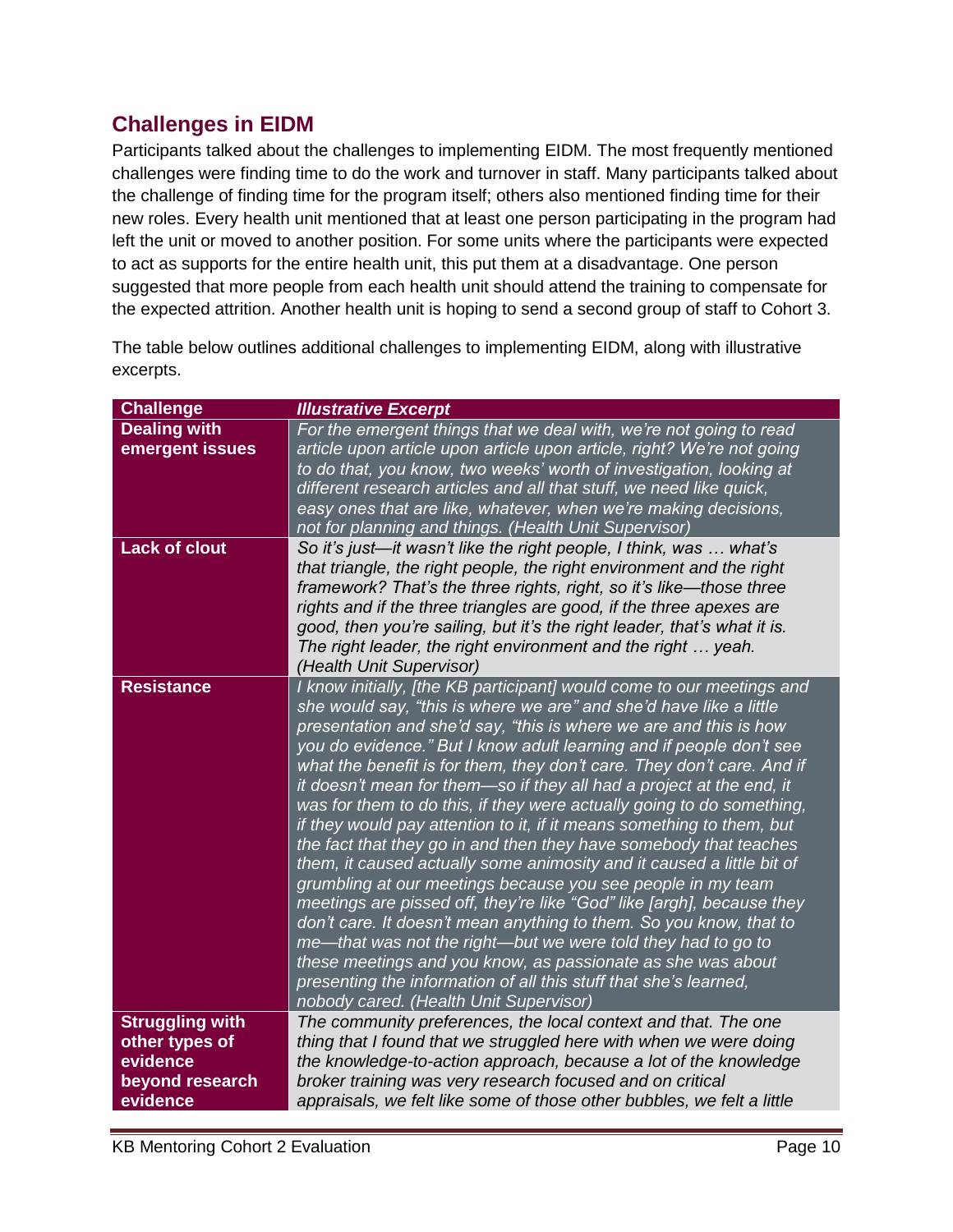#### <span id="page-10-0"></span>**Challenges in EIDM**

Participants talked about the challenges to implementing EIDM. The most frequently mentioned challenges were finding time to do the work and turnover in staff. Many participants talked about the challenge of finding time for the program itself; others also mentioned finding time for their new roles. Every health unit mentioned that at least one person participating in the program had left the unit or moved to another position. For some units where the participants were expected to act as supports for the entire health unit, this put them at a disadvantage. One person suggested that more people from each health unit should attend the training to compensate for the expected attrition. Another health unit is hoping to send a second group of staff to Cohort 3.

The table below outlines additional challenges to implementing EIDM, along with illustrative excerpts.

| <b>Challenge</b>                                                                    | <b>Illustrative Excerpt</b>                                                                                                                                                                                                                                                                                                                                                                                                                                                                                                                                                                                                                                                                                                                                                                                                                                                                                                                                                                                                                                                                                                                                                                          |
|-------------------------------------------------------------------------------------|------------------------------------------------------------------------------------------------------------------------------------------------------------------------------------------------------------------------------------------------------------------------------------------------------------------------------------------------------------------------------------------------------------------------------------------------------------------------------------------------------------------------------------------------------------------------------------------------------------------------------------------------------------------------------------------------------------------------------------------------------------------------------------------------------------------------------------------------------------------------------------------------------------------------------------------------------------------------------------------------------------------------------------------------------------------------------------------------------------------------------------------------------------------------------------------------------|
| <b>Dealing with</b><br>emergent issues                                              | For the emergent things that we deal with, we're not going to read<br>article upon article upon article upon article, right? We're not going<br>to do that, you know, two weeks' worth of investigation, looking at<br>different research articles and all that stuff, we need like quick,<br>easy ones that are like, whatever, when we're making decisions,<br>not for planning and things. (Health Unit Supervisor)                                                                                                                                                                                                                                                                                                                                                                                                                                                                                                                                                                                                                                                                                                                                                                               |
| <b>Lack of clout</b>                                                                | So it's just—it wasn't like the right people, I think, was  what's<br>that triangle, the right people, the right environment and the right<br>framework? That's the three rights, right, so it's like—those three<br>rights and if the three triangles are good, if the three apexes are<br>good, then you're sailing, but it's the right leader, that's what it is.<br>The right leader, the right environment and the right  yeah.<br>(Health Unit Supervisor)                                                                                                                                                                                                                                                                                                                                                                                                                                                                                                                                                                                                                                                                                                                                     |
| <b>Resistance</b>                                                                   | I know initially, [the KB participant] would come to our meetings and<br>she would say, "this is where we are" and she'd have like a little<br>presentation and she'd say, "this is where we are and this is how<br>you do evidence." But I know adult learning and if people don't see<br>what the benefit is for them, they don't care. They don't care. And if<br>it doesn't mean for them-so if they all had a project at the end, it<br>was for them to do this, if they were actually going to do something,<br>if they would pay attention to it, if it means something to them, but<br>the fact that they go in and then they have somebody that teaches<br>them, it caused actually some animosity and it caused a little bit of<br>grumbling at our meetings because you see people in my team<br>meetings are pissed off, they're like "God" like [argh], because they<br>don't care. It doesn't mean anything to them. So you know, that to<br>me—that was not the right—but we were told they had to go to<br>these meetings and you know, as passionate as she was about<br>presenting the information of all this stuff that she's learned,<br>nobody cared. (Health Unit Supervisor) |
| <b>Struggling with</b><br>other types of<br>evidence<br>beyond research<br>evidence | The community preferences, the local context and that. The one<br>thing that I found that we struggled here with when we were doing<br>the knowledge-to-action approach, because a lot of the knowledge<br>broker training was very research focused and on critical<br>appraisals, we felt like some of those other bubbles, we felt a little                                                                                                                                                                                                                                                                                                                                                                                                                                                                                                                                                                                                                                                                                                                                                                                                                                                       |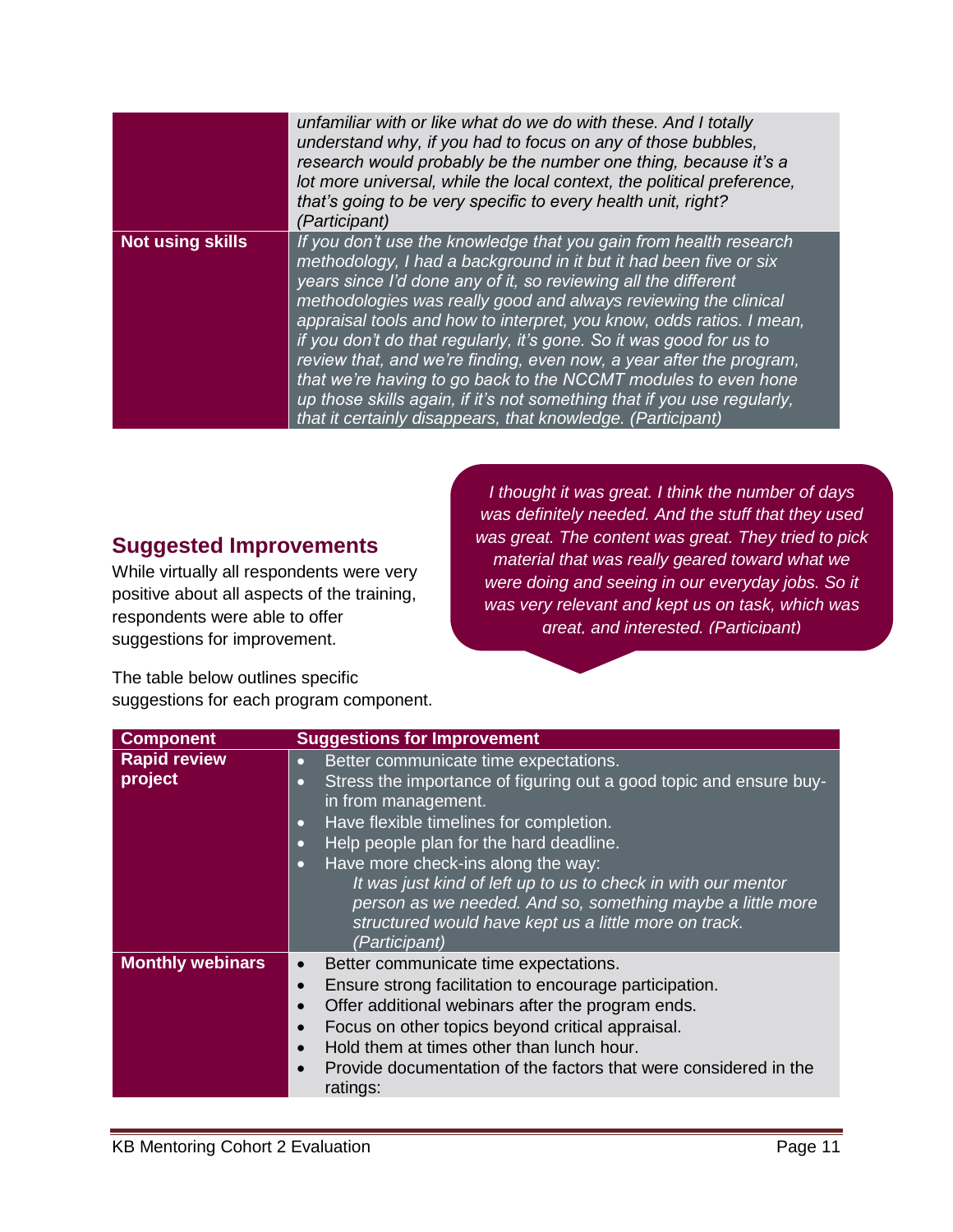|                         | unfamiliar with or like what do we do with these. And I totally<br>understand why, if you had to focus on any of those bubbles,<br>research would probably be the number one thing, because it's a<br>lot more universal, while the local context, the political preference,<br>that's going to be very specific to every health unit, right?<br>(Participant)                                                                                                                                                                                                                                                                                                                                                |
|-------------------------|---------------------------------------------------------------------------------------------------------------------------------------------------------------------------------------------------------------------------------------------------------------------------------------------------------------------------------------------------------------------------------------------------------------------------------------------------------------------------------------------------------------------------------------------------------------------------------------------------------------------------------------------------------------------------------------------------------------|
| <b>Not using skills</b> | If you don't use the knowledge that you gain from health research<br>methodology, I had a background in it but it had been five or six<br>years since I'd done any of it, so reviewing all the different<br>methodologies was really good and always reviewing the clinical<br>appraisal tools and how to interpret, you know, odds ratios. I mean,<br>if you don't do that regularly, it's gone. So it was good for us to<br>review that, and we're finding, even now, a year after the program,<br>that we're having to go back to the NCCMT modules to even hone<br>up those skills again, if it's not something that if you use regularly,<br>that it certainly disappears, that knowledge. (Participant) |

#### <span id="page-11-0"></span>**Suggested Improvements**

While virtually all respondents were very positive about all aspects of the training, respondents were able to offer suggestions for improvement.

*I thought it was great. I think the number of days was definitely needed. And the stuff that they used was great. The content was great. They tried to pick material that was really geared toward what we were doing and seeing in our everyday jobs. So it was very relevant and kept us on task, which was great, and interested. (Participant)*

The table below outlines specific suggestions for each program component.

| <b>Component</b>                                                                                                                                                                                                                                                                                                                                                  | <b>Suggestions for Improvement</b>                                                                                                                                                                                                                                                                                                                                                        |
|-------------------------------------------------------------------------------------------------------------------------------------------------------------------------------------------------------------------------------------------------------------------------------------------------------------------------------------------------------------------|-------------------------------------------------------------------------------------------------------------------------------------------------------------------------------------------------------------------------------------------------------------------------------------------------------------------------------------------------------------------------------------------|
| <b>Rapid review</b><br>Better communicate time expectations.<br>$\bullet$<br>project<br>Stress the importance of figuring out a good topic and ensure buy-<br>$\bullet$<br>in from management.<br>Have flexible timelines for completion.<br>$\bullet$<br>Help people plan for the hard deadline.<br>$\bullet$<br>Have more check-ins along the way:<br>$\bullet$ |                                                                                                                                                                                                                                                                                                                                                                                           |
|                                                                                                                                                                                                                                                                                                                                                                   | It was just kind of left up to us to check in with our mentor<br>person as we needed. And so, something maybe a little more<br>structured would have kept us a little more on track.<br>(Participant)                                                                                                                                                                                     |
| <b>Monthly webinars</b>                                                                                                                                                                                                                                                                                                                                           | Better communicate time expectations.<br>$\bullet$<br>Ensure strong facilitation to encourage participation.<br>$\bullet$<br>Offer additional webinars after the program ends.<br>Focus on other topics beyond critical appraisal.<br>Hold them at times other than lunch hour.<br>$\bullet$<br>Provide documentation of the factors that were considered in the<br>$\bullet$<br>ratings: |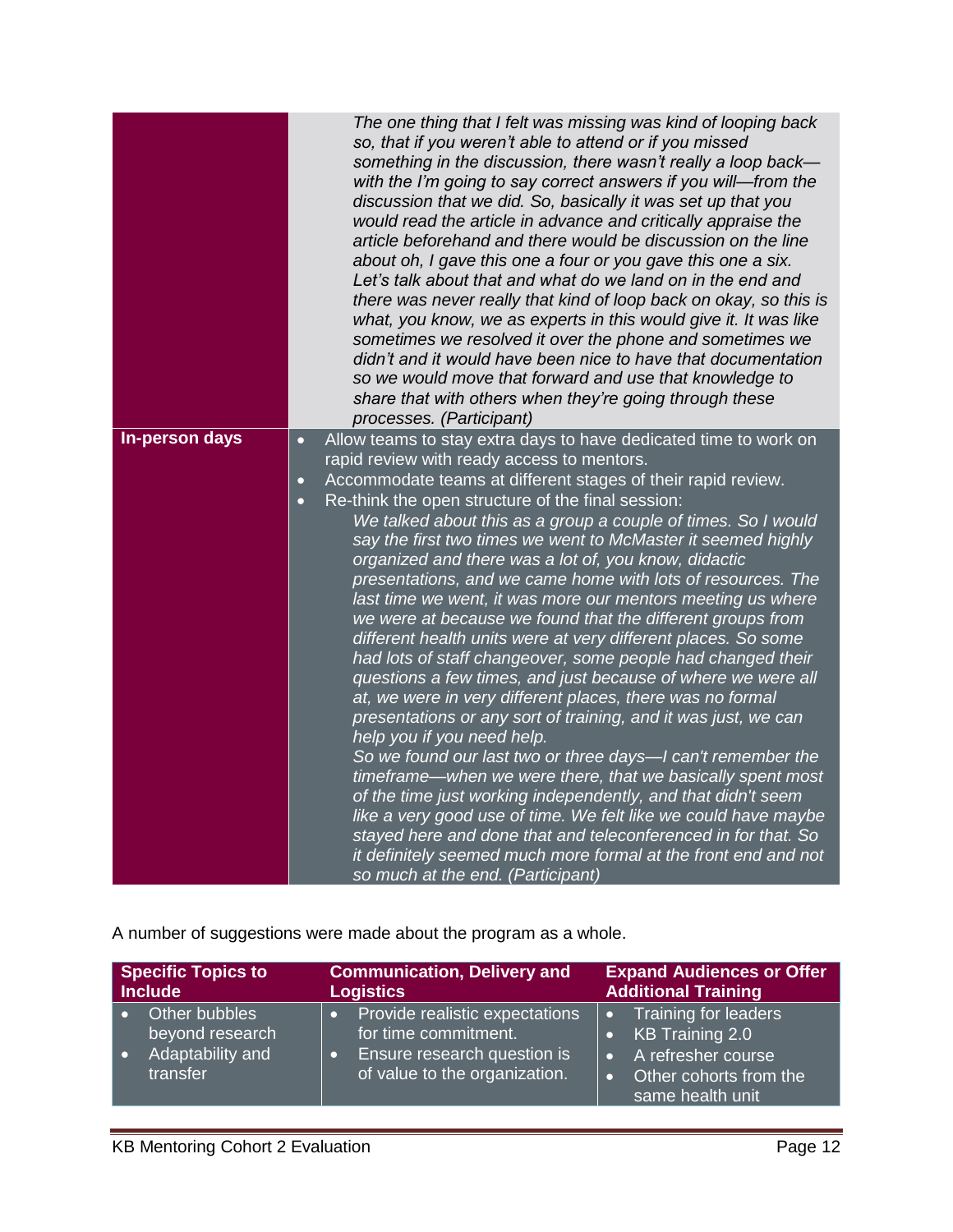|                | The one thing that I felt was missing was kind of looping back<br>so, that if you weren't able to attend or if you missed<br>something in the discussion, there wasn't really a loop back-<br>with the I'm going to say correct answers if you will-from the<br>discussion that we did. So, basically it was set up that you<br>would read the article in advance and critically appraise the<br>article beforehand and there would be discussion on the line<br>about oh, I gave this one a four or you gave this one a six.<br>Let's talk about that and what do we land on in the end and<br>there was never really that kind of loop back on okay, so this is<br>what, you know, we as experts in this would give it. It was like<br>sometimes we resolved it over the phone and sometimes we<br>didn't and it would have been nice to have that documentation<br>so we would move that forward and use that knowledge to<br>share that with others when they're going through these<br>processes. (Participant) |
|----------------|----------------------------------------------------------------------------------------------------------------------------------------------------------------------------------------------------------------------------------------------------------------------------------------------------------------------------------------------------------------------------------------------------------------------------------------------------------------------------------------------------------------------------------------------------------------------------------------------------------------------------------------------------------------------------------------------------------------------------------------------------------------------------------------------------------------------------------------------------------------------------------------------------------------------------------------------------------------------------------------------------------------------|
| In-person days | Allow teams to stay extra days to have dedicated time to work on<br>$\bullet$                                                                                                                                                                                                                                                                                                                                                                                                                                                                                                                                                                                                                                                                                                                                                                                                                                                                                                                                        |
|                | rapid review with ready access to mentors.                                                                                                                                                                                                                                                                                                                                                                                                                                                                                                                                                                                                                                                                                                                                                                                                                                                                                                                                                                           |
|                | Accommodate teams at different stages of their rapid review.<br>$\overline{\mathbf{C}}$                                                                                                                                                                                                                                                                                                                                                                                                                                                                                                                                                                                                                                                                                                                                                                                                                                                                                                                              |
|                | Re-think the open structure of the final session:<br>$\bullet$                                                                                                                                                                                                                                                                                                                                                                                                                                                                                                                                                                                                                                                                                                                                                                                                                                                                                                                                                       |
|                | We talked about this as a group a couple of times. So I would<br>say the first two times we went to McMaster it seemed highly                                                                                                                                                                                                                                                                                                                                                                                                                                                                                                                                                                                                                                                                                                                                                                                                                                                                                        |
|                | organized and there was a lot of, you know, didactic                                                                                                                                                                                                                                                                                                                                                                                                                                                                                                                                                                                                                                                                                                                                                                                                                                                                                                                                                                 |
|                | presentations, and we came home with lots of resources. The<br>last time we went, it was more our mentors meeting us where<br>we were at because we found that the different groups from<br>different health units were at very different places. So some<br>had lots of staff changeover, some people had changed their<br>questions a few times, and just because of where we were all<br>at, we were in very different places, there was no formal<br>presentations or any sort of training, and it was just, we can<br>help you if you need help.                                                                                                                                                                                                                                                                                                                                                                                                                                                                |
|                | So we found our last two or three days-I can't remember the<br>timeframe—when we were there, that we basically spent most<br>of the time just working independently, and that didn't seem<br>like a very good use of time. We felt like we could have maybe<br>stayed here and done that and teleconferenced in for that. So                                                                                                                                                                                                                                                                                                                                                                                                                                                                                                                                                                                                                                                                                         |
|                | it definitely seemed much more formal at the front end and not<br>so much at the end. (Participant)                                                                                                                                                                                                                                                                                                                                                                                                                                                                                                                                                                                                                                                                                                                                                                                                                                                                                                                  |

A number of suggestions were made about the program as a whole.

| <b>Specific Topics to</b>           | <b>Communication, Delivery and</b>                           | <b>Expand Audiences or Offer</b>                                 |  |
|-------------------------------------|--------------------------------------------------------------|------------------------------------------------------------------|--|
| Include                             | <b>Logistics</b>                                             | <b>Additional Training</b>                                       |  |
| Other bubbles                       | Provide realistic expectations                               | <b>Training for leaders</b>                                      |  |
| beyond research                     | for time commitment.                                         | KB Training 2.0                                                  |  |
| Adaptability and<br>l o<br>transfer | Ensure research question is<br>of value to the organization. | A refresher course<br>Other cohorts from the<br>same health unit |  |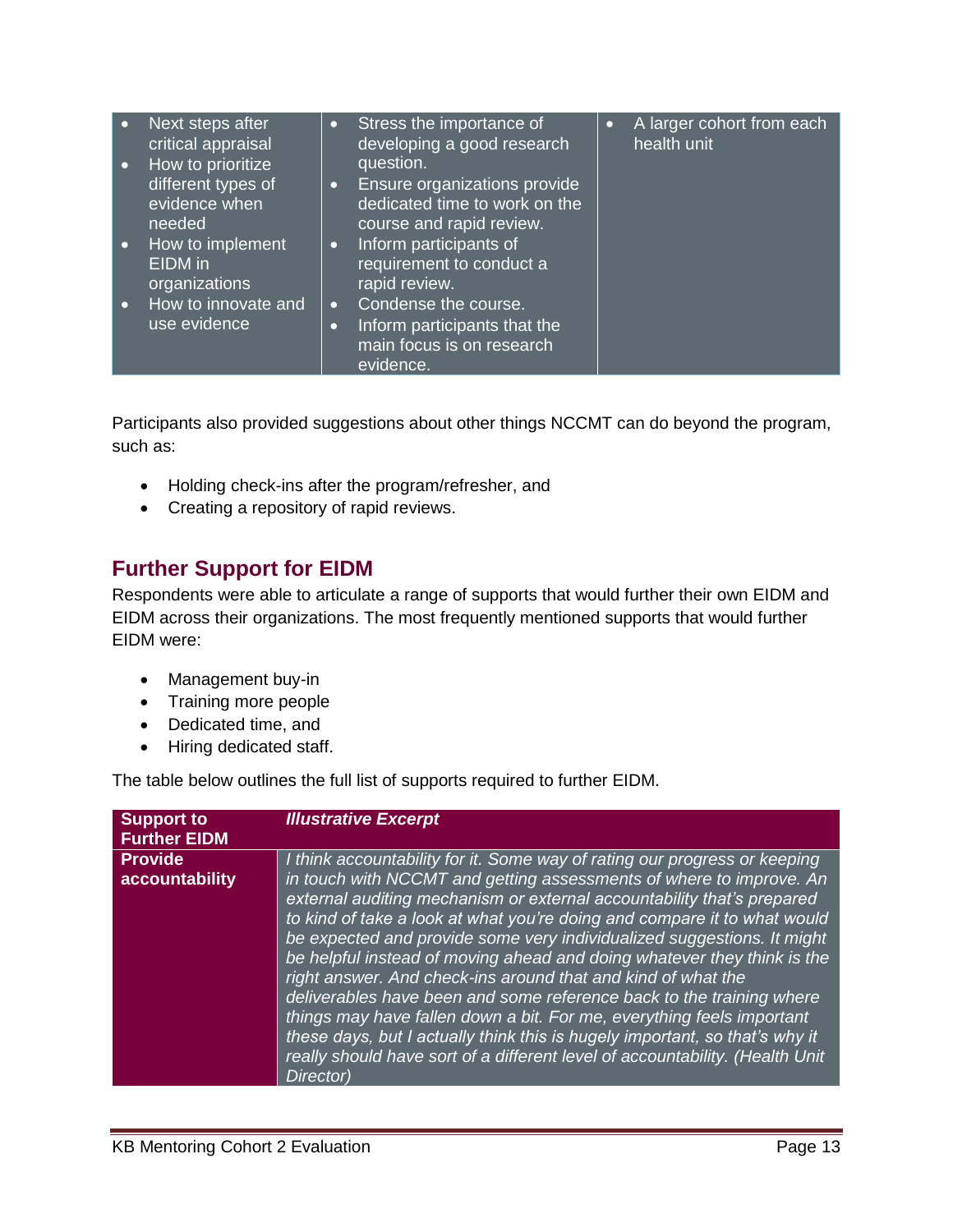| $\bullet$<br>$\bullet$ | Next steps after<br>critical appraisal<br>How to prioritize<br>different types of<br>evidence when | $\bullet$<br>$\bullet$ | Stress the importance of<br>developing a good research<br>question.<br>Ensure organizations provide<br>dedicated time to work on the | $\bullet$ | A larger cohort from each<br>health unit |
|------------------------|----------------------------------------------------------------------------------------------------|------------------------|--------------------------------------------------------------------------------------------------------------------------------------|-----------|------------------------------------------|
|                        | needed                                                                                             |                        | course and rapid review.                                                                                                             |           |                                          |
| $\bullet$              | How to implement<br>EIDM in<br>organizations                                                       | $\bullet$              | Inform participants of<br>requirement to conduct a<br>rapid review.                                                                  |           |                                          |
| $\bullet$              | How to innovate and                                                                                | $\bullet$              | Condense the course.                                                                                                                 |           |                                          |
|                        | use evidence                                                                                       | $\bullet$              | Inform participants that the                                                                                                         |           |                                          |
|                        |                                                                                                    |                        | main focus is on research<br>evidence.                                                                                               |           |                                          |

Participants also provided suggestions about other things NCCMT can do beyond the program, such as:

- Holding check-ins after the program/refresher, and
- Creating a repository of rapid reviews.

### <span id="page-13-0"></span>**Further Support for EIDM**

Respondents were able to articulate a range of supports that would further their own EIDM and EIDM across their organizations. The most frequently mentioned supports that would further EIDM were:

- Management buy-in
- Training more people
- Dedicated time, and
- Hiring dedicated staff.

The table below outlines the full list of supports required to further EIDM.

| <b>Support to</b><br><b>Further EIDM</b> | <b>Illustrative Excerpt</b>                                                                                                                                                                                                                                                                                                                                                                                                                                                                                                                                                                                                                                                                                                                                                                                                                              |
|------------------------------------------|----------------------------------------------------------------------------------------------------------------------------------------------------------------------------------------------------------------------------------------------------------------------------------------------------------------------------------------------------------------------------------------------------------------------------------------------------------------------------------------------------------------------------------------------------------------------------------------------------------------------------------------------------------------------------------------------------------------------------------------------------------------------------------------------------------------------------------------------------------|
| <b>Provide</b><br>accountability         | I think accountability for it. Some way of rating our progress or keeping<br>in touch with NCCMT and getting assessments of where to improve. An<br>external auditing mechanism or external accountability that's prepared<br>to kind of take a look at what you're doing and compare it to what would<br>be expected and provide some very individualized suggestions. It might<br>be helpful instead of moving ahead and doing whatever they think is the<br>right answer. And check-ins around that and kind of what the<br>deliverables have been and some reference back to the training where<br>things may have fallen down a bit. For me, everything feels important<br>these days, but I actually think this is hugely important, so that's why it<br>really should have sort of a different level of accountability. (Health Unit<br>Director) |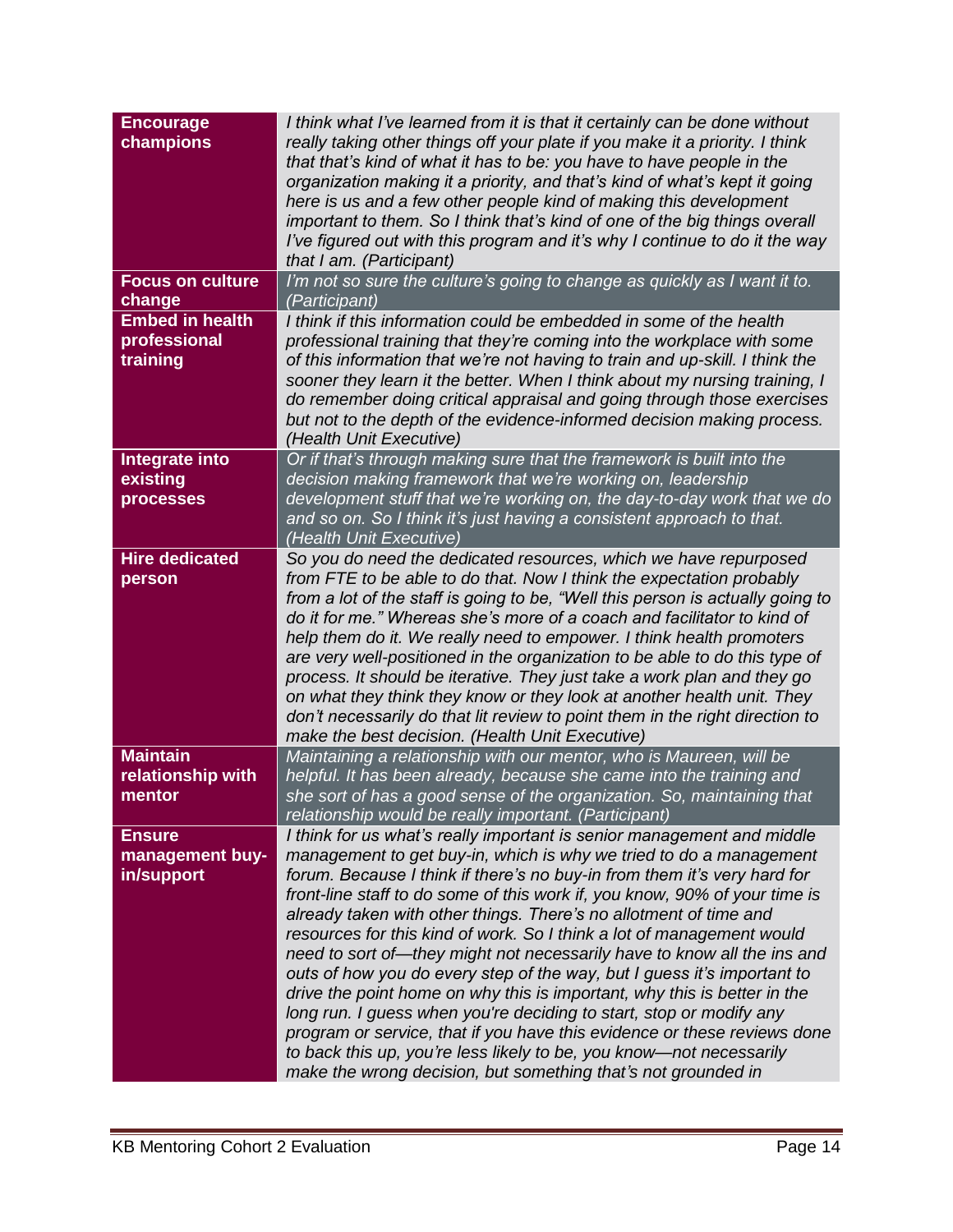| <b>Encourage</b><br>champions                      | I think what I've learned from it is that it certainly can be done without<br>really taking other things off your plate if you make it a priority. I think<br>that that's kind of what it has to be: you have to have people in the<br>organization making it a priority, and that's kind of what's kept it going<br>here is us and a few other people kind of making this development<br>important to them. So I think that's kind of one of the big things overall<br>I've figured out with this program and it's why I continue to do it the way<br>that I am. (Participant)                                                                                                                                                                                                                                                                                                                                                                                                   |
|----------------------------------------------------|-----------------------------------------------------------------------------------------------------------------------------------------------------------------------------------------------------------------------------------------------------------------------------------------------------------------------------------------------------------------------------------------------------------------------------------------------------------------------------------------------------------------------------------------------------------------------------------------------------------------------------------------------------------------------------------------------------------------------------------------------------------------------------------------------------------------------------------------------------------------------------------------------------------------------------------------------------------------------------------|
| <b>Focus on culture</b><br>change                  | I'm not so sure the culture's going to change as quickly as I want it to.<br>(Participant)                                                                                                                                                                                                                                                                                                                                                                                                                                                                                                                                                                                                                                                                                                                                                                                                                                                                                        |
| <b>Embed in health</b><br>professional<br>training | I think if this information could be embedded in some of the health<br>professional training that they're coming into the workplace with some<br>of this information that we're not having to train and up-skill. I think the<br>sooner they learn it the better. When I think about my nursing training, I<br>do remember doing critical appraisal and going through those exercises<br>but not to the depth of the evidence-informed decision making process.<br>(Health Unit Executive)                                                                                                                                                                                                                                                                                                                                                                                                                                                                                        |
| Integrate into<br>existing<br>processes            | Or if that's through making sure that the framework is built into the<br>decision making framework that we're working on, leadership<br>development stuff that we're working on, the day-to-day work that we do<br>and so on. So I think it's just having a consistent approach to that.<br>(Health Unit Executive)                                                                                                                                                                                                                                                                                                                                                                                                                                                                                                                                                                                                                                                               |
| <b>Hire dedicated</b><br>person                    | So you do need the dedicated resources, which we have repurposed<br>from FTE to be able to do that. Now I think the expectation probably<br>from a lot of the staff is going to be, "Well this person is actually going to<br>do it for me." Whereas she's more of a coach and facilitator to kind of<br>help them do it. We really need to empower. I think health promoters<br>are very well-positioned in the organization to be able to do this type of<br>process. It should be iterative. They just take a work plan and they go<br>on what they think they know or they look at another health unit. They<br>don't necessarily do that lit review to point them in the right direction to<br>make the best decision. (Health Unit Executive)                                                                                                                                                                                                                               |
| <b>Maintain</b><br>relationship with<br>mentor     | Maintaining a relationship with our mentor, who is Maureen, will be<br>helpful. It has been already, because she came into the training and<br>she sort of has a good sense of the organization. So, maintaining that<br>relationship would be really important. (Participant)                                                                                                                                                                                                                                                                                                                                                                                                                                                                                                                                                                                                                                                                                                    |
| <b>Ensure</b><br>management buy-<br>in/support     | I think for us what's really important is senior management and middle<br>management to get buy-in, which is why we tried to do a management<br>forum. Because I think if there's no buy-in from them it's very hard for<br>front-line staff to do some of this work if, you know, 90% of your time is<br>already taken with other things. There's no allotment of time and<br>resources for this kind of work. So I think a lot of management would<br>need to sort of—they might not necessarily have to know all the ins and<br>outs of how you do every step of the way, but I guess it's important to<br>drive the point home on why this is important, why this is better in the<br>long run. I guess when you're deciding to start, stop or modify any<br>program or service, that if you have this evidence or these reviews done<br>to back this up, you're less likely to be, you know-not necessarily<br>make the wrong decision, but something that's not grounded in |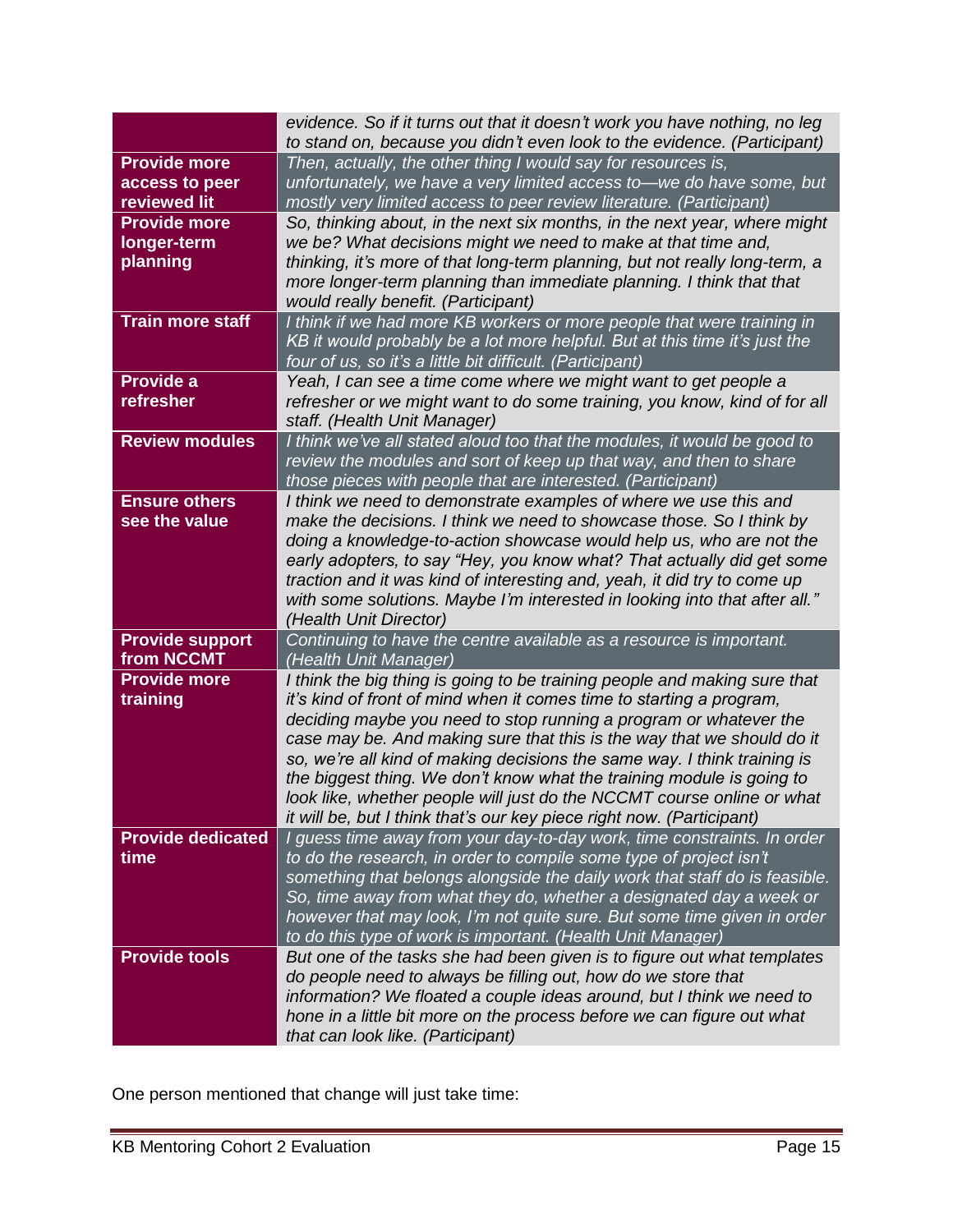|                          | evidence. So if it turns out that it doesn't work you have nothing, no leg                                                                  |
|--------------------------|---------------------------------------------------------------------------------------------------------------------------------------------|
| <b>Provide more</b>      | to stand on, because you didn't even look to the evidence. (Participant)                                                                    |
| access to peer           | Then, actually, the other thing I would say for resources is,<br>unfortunately, we have a very limited access to-we do have some, but       |
| reviewed lit             | mostly very limited access to peer review literature. (Participant)                                                                         |
| <b>Provide more</b>      | So, thinking about, in the next six months, in the next year, where might                                                                   |
| longer-term              | we be? What decisions might we need to make at that time and,                                                                               |
| planning                 | thinking, it's more of that long-term planning, but not really long-term, a                                                                 |
|                          | more longer-term planning than immediate planning. I think that that                                                                        |
|                          | would really benefit. (Participant)                                                                                                         |
| <b>Train more staff</b>  | I think if we had more KB workers or more people that were training in                                                                      |
|                          | KB it would probably be a lot more helpful. But at this time it's just the                                                                  |
|                          | four of us, so it's a little bit difficult. (Participant)                                                                                   |
| Provide a                | Yeah, I can see a time come where we might want to get people a                                                                             |
| refresher                | refresher or we might want to do some training, you know, kind of for all                                                                   |
|                          | staff. (Health Unit Manager)                                                                                                                |
| <b>Review modules</b>    | I think we've all stated aloud too that the modules, it would be good to                                                                    |
|                          | review the modules and sort of keep up that way, and then to share<br>those pieces with people that are interested. (Participant)           |
| <b>Ensure others</b>     | I think we need to demonstrate examples of where we use this and                                                                            |
| see the value            | make the decisions. I think we need to showcase those. So I think by                                                                        |
|                          | doing a knowledge-to-action showcase would help us, who are not the                                                                         |
|                          | early adopters, to say "Hey, you know what? That actually did get some                                                                      |
|                          | traction and it was kind of interesting and, yeah, it did try to come up                                                                    |
|                          | with some solutions. Maybe I'm interested in looking into that after all."                                                                  |
|                          | (Health Unit Director)                                                                                                                      |
| <b>Provide support</b>   | Continuing to have the centre available as a resource is important.                                                                         |
| from NCCMT               | (Health Unit Manager)                                                                                                                       |
| <b>Provide more</b>      | I think the big thing is going to be training people and making sure that                                                                   |
| training                 | it's kind of front of mind when it comes time to starting a program,                                                                        |
|                          | deciding maybe you need to stop running a program or whatever the<br>case may be. And making sure that this is the way that we should do it |
|                          | so, we're all kind of making decisions the same way. I think training is                                                                    |
|                          | the biggest thing. We don't know what the training module is going to                                                                       |
|                          | look like, whether people will just do the NCCMT course online or what                                                                      |
|                          | it will be, but I think that's our key piece right now. (Participant)                                                                       |
| <b>Provide dedicated</b> | I guess time away from your day-to-day work, time constraints. In order                                                                     |
| time                     | to do the research, in order to compile some type of project isn't                                                                          |
|                          | something that belongs alongside the daily work that staff do is feasible.                                                                  |
|                          | So, time away from what they do, whether a designated day a week or                                                                         |
|                          | however that may look, I'm not quite sure. But some time given in order                                                                     |
|                          | to do this type of work is important. (Health Unit Manager)                                                                                 |
| <b>Provide tools</b>     | But one of the tasks she had been given is to figure out what templates<br>do people need to always be filling out, how do we store that    |
|                          | information? We floated a couple ideas around, but I think we need to                                                                       |
|                          | hone in a little bit more on the process before we can figure out what                                                                      |
|                          | that can look like. (Participant)                                                                                                           |
|                          |                                                                                                                                             |

One person mentioned that change will just take time: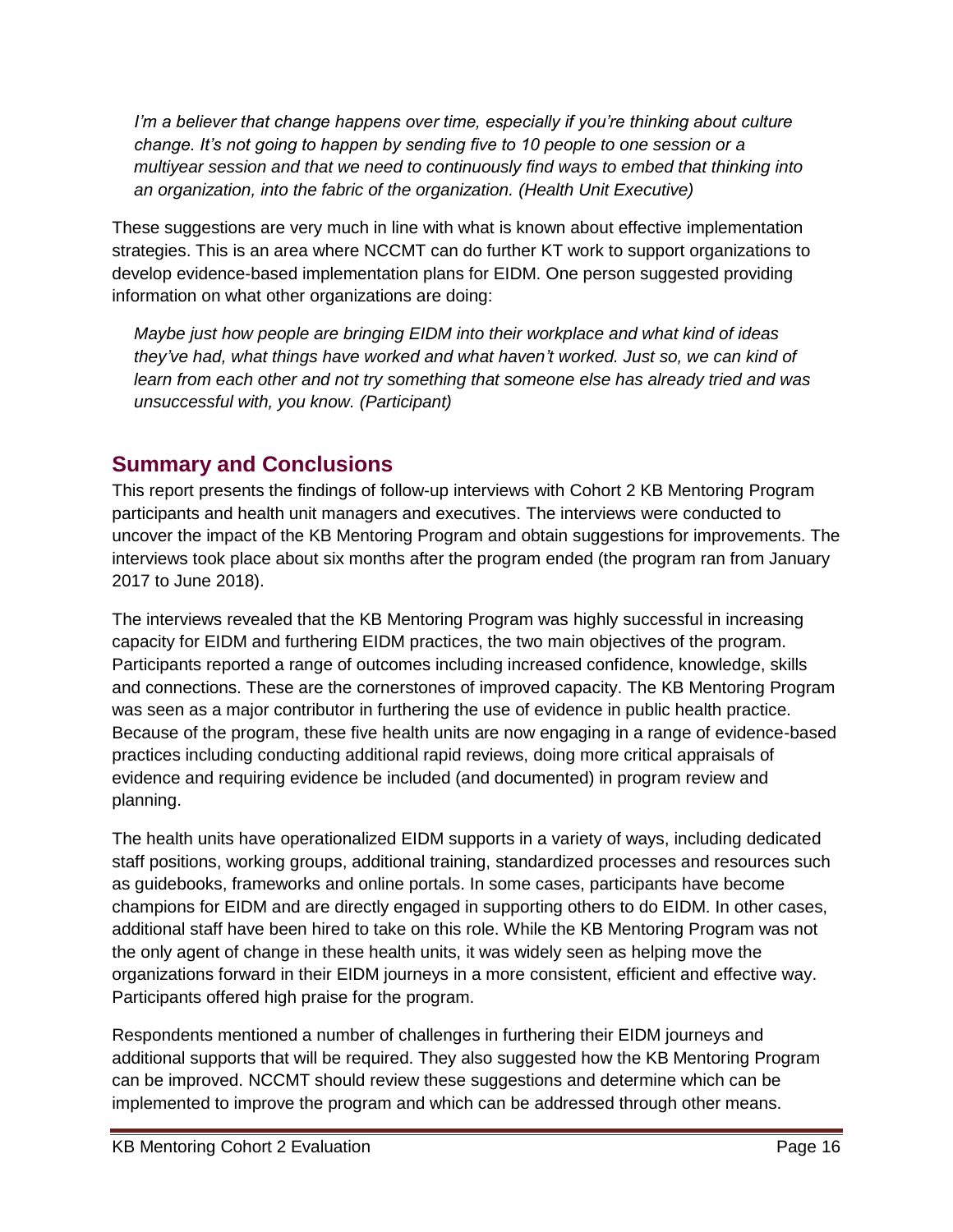*I'm a believer that change happens over time, especially if you're thinking about culture change. It's not going to happen by sending five to 10 people to one session or a multiyear session and that we need to continuously find ways to embed that thinking into an organization, into the fabric of the organization. (Health Unit Executive)*

These suggestions are very much in line with what is known about effective implementation strategies. This is an area where NCCMT can do further KT work to support organizations to develop evidence-based implementation plans for EIDM. One person suggested providing information on what other organizations are doing:

*Maybe just how people are bringing EIDM into their workplace and what kind of ideas they've had, what things have worked and what haven't worked. Just so, we can kind of learn from each other and not try something that someone else has already tried and was unsuccessful with, you know. (Participant)*

#### <span id="page-16-0"></span>**Summary and Conclusions**

This report presents the findings of follow-up interviews with Cohort 2 KB Mentoring Program participants and health unit managers and executives. The interviews were conducted to uncover the impact of the KB Mentoring Program and obtain suggestions for improvements. The interviews took place about six months after the program ended (the program ran from January 2017 to June 2018).

The interviews revealed that the KB Mentoring Program was highly successful in increasing capacity for EIDM and furthering EIDM practices, the two main objectives of the program. Participants reported a range of outcomes including increased confidence, knowledge, skills and connections. These are the cornerstones of improved capacity. The KB Mentoring Program was seen as a major contributor in furthering the use of evidence in public health practice. Because of the program, these five health units are now engaging in a range of evidence-based practices including conducting additional rapid reviews, doing more critical appraisals of evidence and requiring evidence be included (and documented) in program review and planning.

The health units have operationalized EIDM supports in a variety of ways, including dedicated staff positions, working groups, additional training, standardized processes and resources such as guidebooks, frameworks and online portals. In some cases, participants have become champions for EIDM and are directly engaged in supporting others to do EIDM. In other cases, additional staff have been hired to take on this role. While the KB Mentoring Program was not the only agent of change in these health units, it was widely seen as helping move the organizations forward in their EIDM journeys in a more consistent, efficient and effective way. Participants offered high praise for the program.

Respondents mentioned a number of challenges in furthering their EIDM journeys and additional supports that will be required. They also suggested how the KB Mentoring Program can be improved. NCCMT should review these suggestions and determine which can be implemented to improve the program and which can be addressed through other means.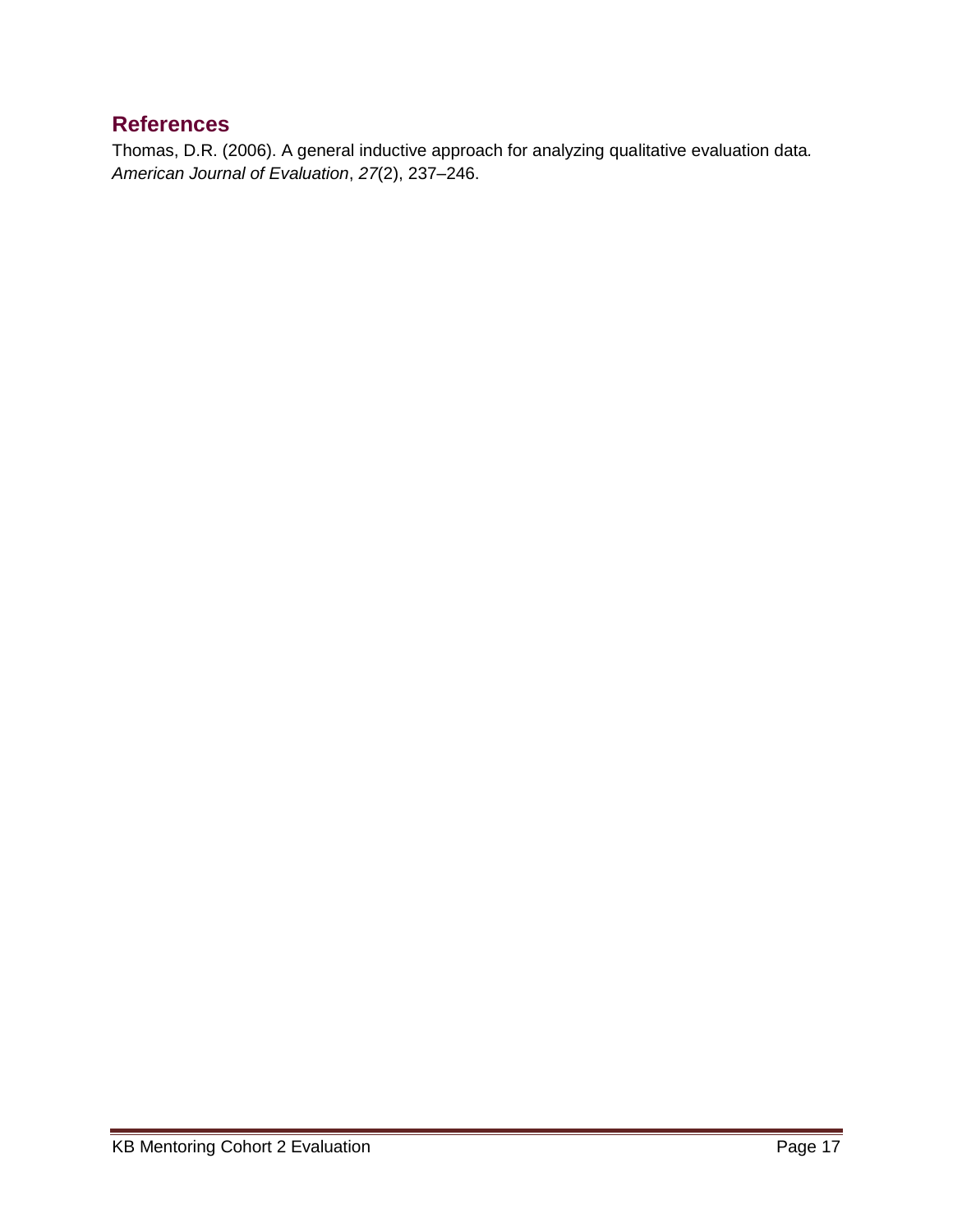#### <span id="page-17-0"></span>**References**

Thomas, D.R. (2006). A general inductive approach for analyzing qualitative evaluation data*. American Journal of Evaluation*, *27*(2), 237–246.